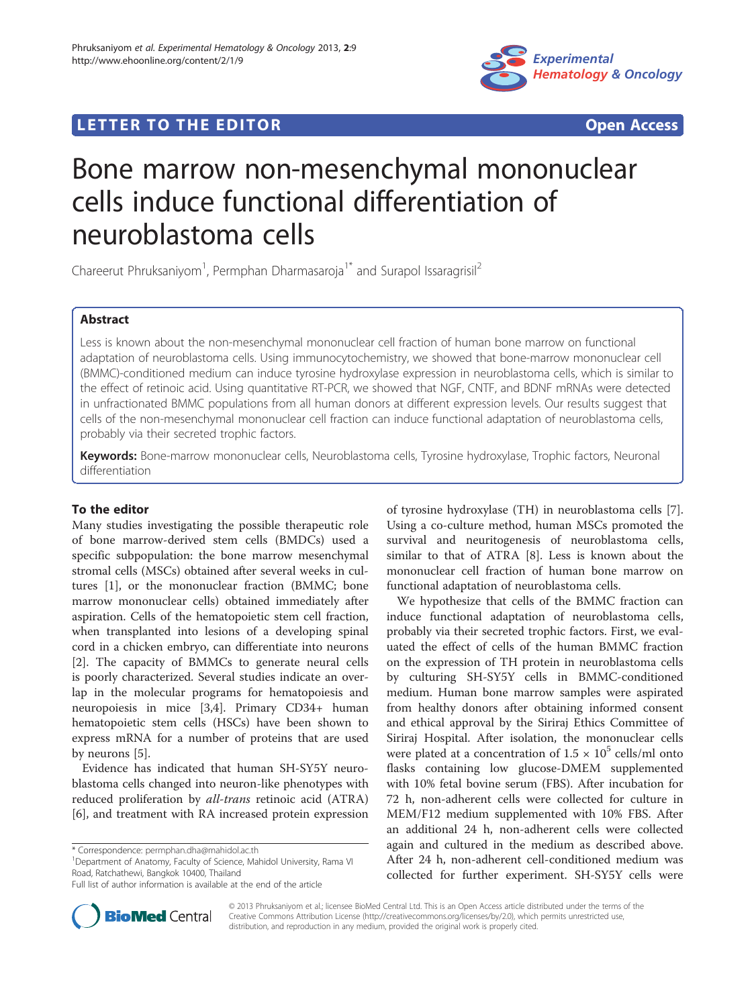

## **LETTER TO THE EDITOR CONSIDERING ACCESS**

# Bone marrow non-mesenchymal mononuclear cells induce functional differentiation of neuroblastoma cells

Chareerut Phruksaniyom<sup>1</sup>, Permphan Dharmasaroja<sup>1\*</sup> and Surapol Issaragrisil<sup>2</sup>

## Abstract

Less is known about the non-mesenchymal mononuclear cell fraction of human bone marrow on functional adaptation of neuroblastoma cells. Using immunocytochemistry, we showed that bone-marrow mononuclear cell (BMMC)-conditioned medium can induce tyrosine hydroxylase expression in neuroblastoma cells, which is similar to the effect of retinoic acid. Using quantitative RT-PCR, we showed that NGF, CNTF, and BDNF mRNAs were detected in unfractionated BMMC populations from all human donors at different expression levels. Our results suggest that cells of the non-mesenchymal mononuclear cell fraction can induce functional adaptation of neuroblastoma cells, probably via their secreted trophic factors.

Keywords: Bone-marrow mononuclear cells, Neuroblastoma cells, Tyrosine hydroxylase, Trophic factors, Neuronal differentiation

## To the editor

Many studies investigating the possible therapeutic role of bone marrow-derived stem cells (BMDCs) used a specific subpopulation: the bone marrow mesenchymal stromal cells (MSCs) obtained after several weeks in cultures [\[1](#page-2-0)], or the mononuclear fraction (BMMC; bone marrow mononuclear cells) obtained immediately after aspiration. Cells of the hematopoietic stem cell fraction, when transplanted into lesions of a developing spinal cord in a chicken embryo, can differentiate into neurons [[2\]](#page-2-0). The capacity of BMMCs to generate neural cells is poorly characterized. Several studies indicate an overlap in the molecular programs for hematopoiesis and neuropoiesis in mice [[3,4\]](#page-2-0). Primary CD34+ human hematopoietic stem cells (HSCs) have been shown to express mRNA for a number of proteins that are used by neurons [\[5](#page-2-0)].

Evidence has indicated that human SH-SY5Y neuroblastoma cells changed into neuron-like phenotypes with reduced proliferation by all-trans retinoic acid (ATRA) [[6\]](#page-2-0), and treatment with RA increased protein expression

<sup>1</sup>Department of Anatomy, Faculty of Science, Mahidol University, Rama VI Road, Ratchathewi, Bangkok 10400, Thailand

of tyrosine hydroxylase (TH) in neuroblastoma cells [\[7](#page-2-0)]. Using a co-culture method, human MSCs promoted the survival and neuritogenesis of neuroblastoma cells, similar to that of ATRA [\[8](#page-2-0)]. Less is known about the mononuclear cell fraction of human bone marrow on functional adaptation of neuroblastoma cells.

We hypothesize that cells of the BMMC fraction can induce functional adaptation of neuroblastoma cells, probably via their secreted trophic factors. First, we evaluated the effect of cells of the human BMMC fraction on the expression of TH protein in neuroblastoma cells by culturing SH-SY5Y cells in BMMC-conditioned medium. Human bone marrow samples were aspirated from healthy donors after obtaining informed consent and ethical approval by the Siriraj Ethics Committee of Siriraj Hospital. After isolation, the mononuclear cells were plated at a concentration of  $1.5 \times 10^5$  cells/ml onto flasks containing low glucose-DMEM supplemented with 10% fetal bovine serum (FBS). After incubation for 72 h, non-adherent cells were collected for culture in MEM/F12 medium supplemented with 10% FBS. After an additional 24 h, non-adherent cells were collected again and cultured in the medium as described above. After 24 h, non-adherent cell-conditioned medium was collected for further experiment. SH-SY5Y cells were



© 2013 Phruksaniyom et al.; licensee BioMed Central Ltd. This is an Open Access article distributed under the terms of the Creative Commons Attribution License (<http://creativecommons.org/licenses/by/2.0>), which permits unrestricted use, distribution, and reproduction in any medium, provided the original work is properly cited.

<sup>\*</sup> Correspondence: [permphan.dha@mahidol.ac.th](mailto:permphan.dha@mahidol.ac.th) <sup>1</sup>

Full list of author information is available at the end of the article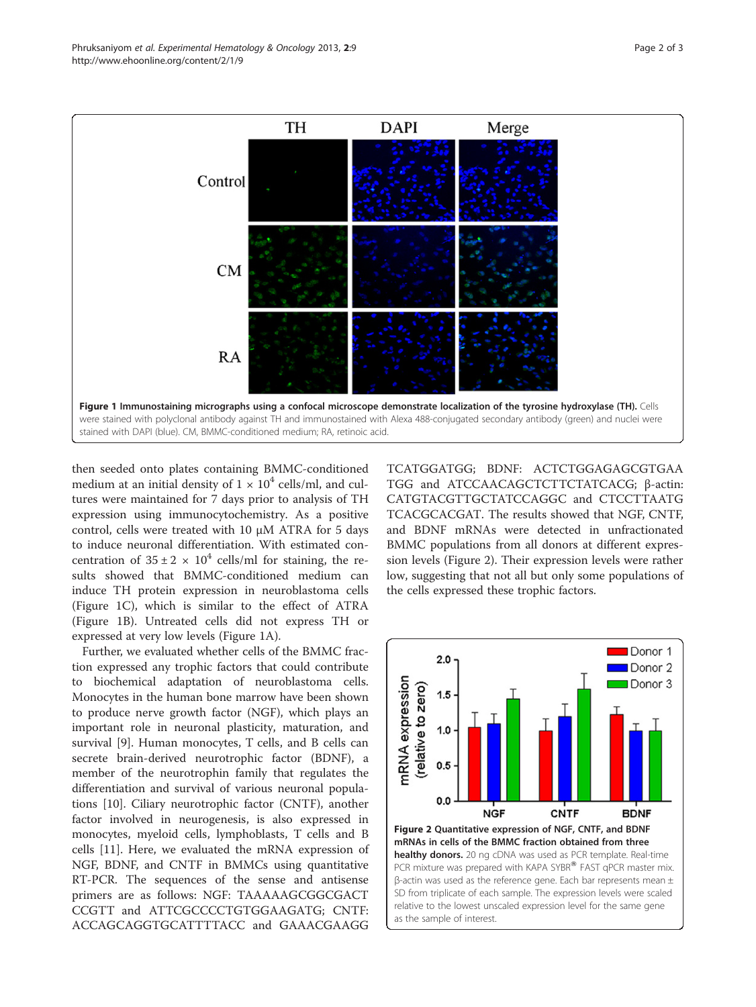then seeded onto plates containing BMMC-conditioned medium at an initial density of  $1 \times 10^4$  cells/ml, and cultures were maintained for 7 days prior to analysis of TH expression using immunocytochemistry. As a positive control, cells were treated with 10 μM ATRA for 5 days to induce neuronal differentiation. With estimated concentration of  $35 \pm 2 \times 10^4$  cells/ml for staining, the results showed that BMMC-conditioned medium can induce TH protein expression in neuroblastoma cells (Figure 1C), which is similar to the effect of ATRA (Figure 1B). Untreated cells did not express TH or expressed at very low levels (Figure 1A).

Further, we evaluated whether cells of the BMMC fraction expressed any trophic factors that could contribute to biochemical adaptation of neuroblastoma cells. Monocytes in the human bone marrow have been shown to produce nerve growth factor (NGF), which plays an important role in neuronal plasticity, maturation, and survival [\[9](#page-2-0)]. Human monocytes, T cells, and B cells can secrete brain-derived neurotrophic factor (BDNF), a member of the neurotrophin family that regulates the differentiation and survival of various neuronal populations [\[10\]](#page-2-0). Ciliary neurotrophic factor (CNTF), another factor involved in neurogenesis, is also expressed in monocytes, myeloid cells, lymphoblasts, T cells and B cells [[11\]](#page-2-0). Here, we evaluated the mRNA expression of NGF, BDNF, and CNTF in BMMCs using quantitative RT-PCR. The sequences of the sense and antisense primers are as follows: NGF: TAAAAAGCGGCGACT CCGTT and ATTCGCCCCTGTGGAAGATG; CNTF: ACCAGCAGGTGCATTTTACC and GAAACGAAGG

TCATGGATGG; BDNF: ACTCTGGAGAGCGTGAA TGG and ATCCAACAGCTCTTCTATCACG; β-actin: CATGTACGTTGCTATCCAGGC and CTCCTTAATG TCACGCACGAT. The results showed that NGF, CNTF, and BDNF mRNAs were detected in unfractionated BMMC populations from all donors at different expression levels (Figure 2). Their expression levels were rather low, suggesting that not all but only some populations of the cells expressed these trophic factors.

 $2.0$ 

 $1.5$ 

 $1.0$